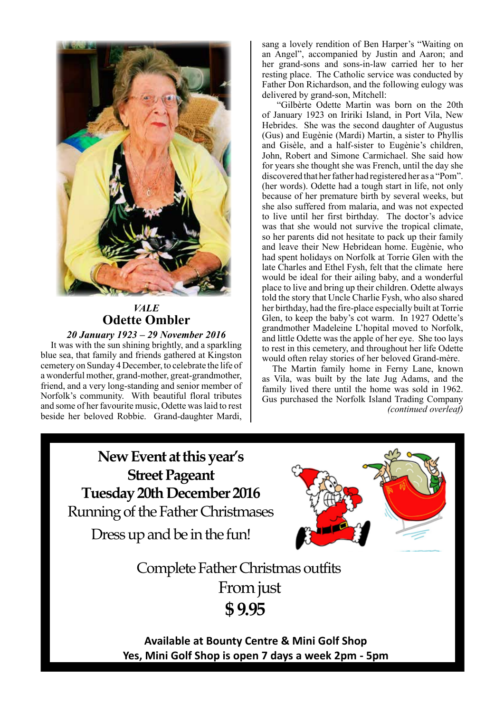

## *VALE* **Odette Ombler** *20 January 1923 – 29 November 2016*

It was with the sun shining brightly, and a sparkling blue sea, that family and friends gathered at Kingston cemetery on Sunday 4 December, to celebrate the life of a wonderful mother, grand-mother, great-grandmother, friend, and a very long-standing and senior member of Norfolk's community. With beautiful floral tributes and some of her favourite music, Odette was laid to rest beside her beloved Robbie. Grand-daughter Mardi,

sang a lovely rendition of Ben Harper's "Waiting on an Angel", accompanied by Justin and Aaron; and her grand-sons and sons-in-law carried her to her resting place. The Catholic service was conducted by Father Don Richardson, and the following eulogy was delivered by grand-son, Mitchell:

 "Gilbèrte Odette Martin was born on the 20th of January 1923 on Iririki Island, in Port Vila, New Hebrides. She was the second daughter of Augustus (Gus) and Eugènie (Mardi) Martin, a sister to Phyllis and Gisèle, and a half-sister to Eugènie's children, John, Robert and Simone Carmichael. She said how for years she thought she was French, until the day she discovered that her father had registered her as a "Pom". (her words). Odette had a tough start in life, not only because of her premature birth by several weeks, but she also suffered from malaria, and was not expected to live until her first birthday. The doctor's advice was that she would not survive the tropical climate, so her parents did not hesitate to pack up their family and leave their New Hebridean home. Eugènie, who had spent holidays on Norfolk at Torrie Glen with the late Charles and Ethel Fysh, felt that the climate here would be ideal for their ailing baby, and a wonderful place to live and bring up their children. Odette always told the story that Uncle Charlie Fysh, who also shared her birthday, had the fire-place especially built at Torrie Glen, to keep the baby's cot warm. In 1927 Odette's grandmother Madeleine L'hopital moved to Norfolk, and little Odette was the apple of her eye. She too lays to rest in this cemetery, and throughout her life Odette would often relay stories of her beloved Grand-mère.

The Martin family home in Ferny Lane, known as Vila, was built by the late Jug Adams, and the family lived there until the home was sold in 1962. Gus purchased the Norfolk Island Trading Company *(continued overleaf)*

**New Event at this year's Street Pageant Tuesday 20th December 2016** Running of the Father Christmases

Dress up and be in the fun!



Complete Father Christmas outfits From just  **\$ 9.95**

**Available at Bounty Centre & Mini Golf Shop Yes, Mini Golf Shop is open 7 days a week 2pm - 5pm**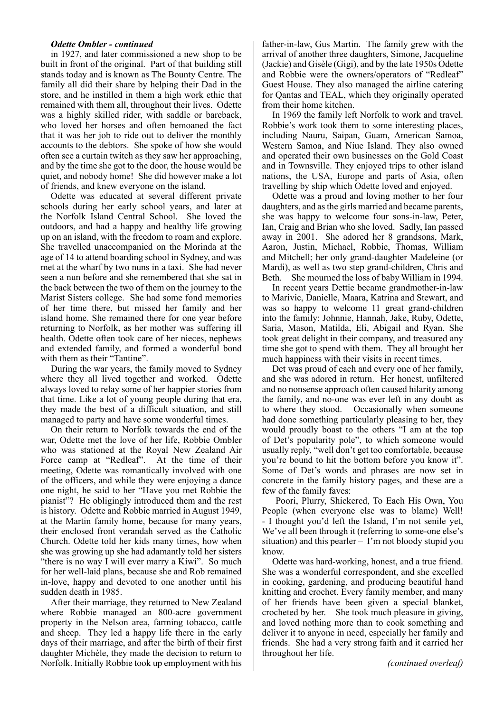#### *Odette Ombler - continued*

in 1927, and later commissioned a new shop to be built in front of the original. Part of that building still stands today and is known as The Bounty Centre. The family all did their share by helping their Dad in the store, and he instilled in them a high work ethic that remained with them all, throughout their lives. Odette was a highly skilled rider, with saddle or bareback, who loved her horses and often bemoaned the fact that it was her job to ride out to deliver the monthly accounts to the debtors. She spoke of how she would often see a curtain twitch as they saw her approaching, and by the time she got to the door, the house would be quiet, and nobody home! She did however make a lot of friends, and knew everyone on the island.

Odette was educated at several different private schools during her early school years, and later at the Norfolk Island Central School. She loved the outdoors, and had a happy and healthy life growing up on an island, with the freedom to roam and explore. She travelled unaccompanied on the Morinda at the age of 14 to attend boarding school in Sydney, and was met at the wharf by two nuns in a taxi. She had never seen a nun before and she remembered that she sat in the back between the two of them on the journey to the Marist Sisters college. She had some fond memories of her time there, but missed her family and her island home. She remained there for one year before returning to Norfolk, as her mother was suffering ill health. Odette often took care of her nieces, nephews and extended family, and formed a wonderful bond with them as their "Tantine".

During the war years, the family moved to Sydney where they all lived together and worked. Odette always loved to relay some of her happier stories from that time. Like a lot of young people during that era, they made the best of a difficult situation, and still managed to party and have some wonderful times.

On their return to Norfolk towards the end of the war, Odette met the love of her life, Robbie Ombler who was stationed at the Royal New Zealand Air Force camp at "Redleaf". At the time of their meeting, Odette was romantically involved with one of the officers, and while they were enjoying a dance one night, he said to her "Have you met Robbie the pianist"? He obligingly introduced them and the rest is history. Odette and Robbie married in August 1949, at the Martin family home, because for many years, their enclosed front verandah served as the Catholic Church. Odette told her kids many times, how when she was growing up she had adamantly told her sisters "there is no way I will ever marry a Kiwi". So much for her well-laid plans, because she and Rob remained in-love, happy and devoted to one another until his sudden death in 1985.

After their marriage, they returned to New Zealand where Robbie managed an 800-acre government property in the Nelson area, farming tobacco, cattle and sheep. They led a happy life there in the early days of their marriage, and after the birth of their first daughter Michèle, they made the decision to return to Norfolk. Initially Robbie took up employment with his

father-in-law, Gus Martin. The family grew with the arrival of another three daughters, Simone, Jacqueline (Jackie) and Gisèle (Gigi), and by the late 1950s Odette and Robbie were the owners/operators of "Redleaf" Guest House. They also managed the airline catering for Qantas and TEAL, which they originally operated from their home kitchen.

In 1969 the family left Norfolk to work and travel. Robbie's work took them to some interesting places, including Nauru, Saipan, Guam, American Samoa, Western Samoa, and Niue Island. They also owned and operated their own businesses on the Gold Coast and in Townsville. They enjoyed trips to other island nations, the USA, Europe and parts of Asia, often travelling by ship which Odette loved and enjoyed.

Odette was a proud and loving mother to her four daughters, and as the girls married and became parents, she was happy to welcome four sons-in-law, Peter, Ian, Craig and Brian who she loved. Sadly, Ian passed away in 2001. She adored her 8 grandsons, Mark, Aaron, Justin, Michael, Robbie, Thomas, William and Mitchell; her only grand-daughter Madeleine (or Mardi), as well as two step grand-children, Chris and Beth. She mourned the loss of baby William in 1994.

In recent years Dettie became grandmother-in-law to Marivic, Danielle, Maara, Katrina and Stewart, and was so happy to welcome 11 great grand-children into the family: Johnnie, Hannah, Jake, Ruby, Odette, Saria, Mason, Matilda, Eli, Abigail and Ryan. She took great delight in their company, and treasured any time she got to spend with them. They all brought her much happiness with their visits in recent times.

Det was proud of each and every one of her family, and she was adored in return. Her honest, unfiltered and no nonsense approach often caused hilarity among the family, and no-one was ever left in any doubt as to where they stood. Occasionally when someone had done something particularly pleasing to her, they would proudly boast to the others "I am at the top of Det's popularity pole", to which someone would usually reply, "well don't get too comfortable, because you're bound to hit the bottom before you know it". Some of Det's words and phrases are now set in concrete in the family history pages, and these are a few of the family faves:

 Poori, Plurry, Shickered, To Each His Own, You People (when everyone else was to blame) Well! - I thought you'd left the Island, I'm not senile yet, We've all been through it (referring to some-one else's situation) and this pearler – I'm not bloody stupid you know.

Odette was hard-working, honest, and a true friend. She was a wonderful correspondent, and she excelled in cooking, gardening, and producing beautiful hand knitting and crochet. Every family member, and many of her friends have been given a special blanket, crocheted by her. She took much pleasure in giving, and loved nothing more than to cook something and deliver it to anyone in need, especially her family and friends. She had a very strong faith and it carried her throughout her life.